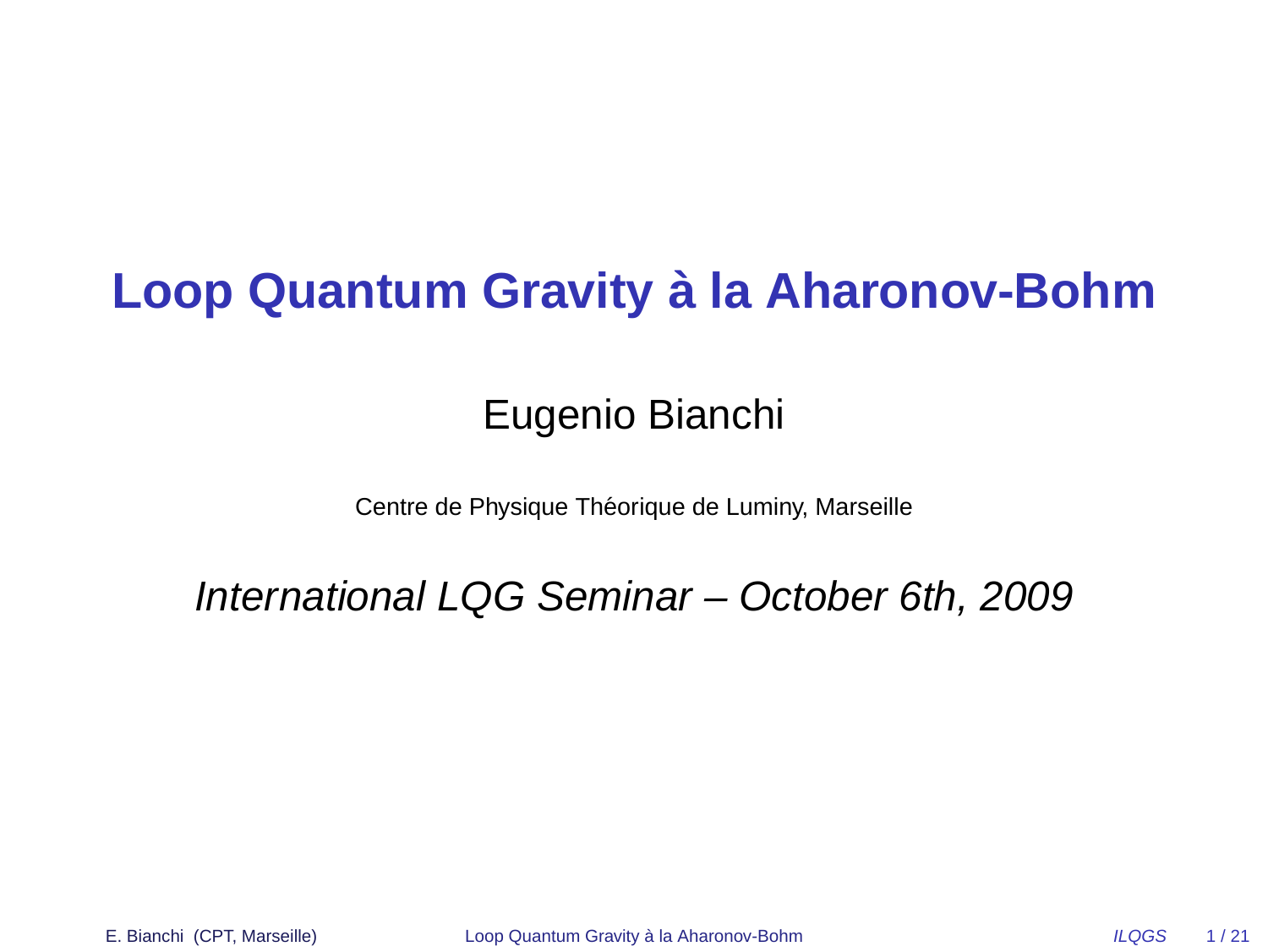# **Loop Quantum Gravity a la Aharonov-Bohm `**

## Eugenio Bianchi

Centre de Physique Théorique de Luminy, Marseille

#### International LQG Seminar – October 6th, 2009

E. Bianchi (CPT, Marseille) [Loop Quantum Gravity](#page-20-0) à la Aharonov-Bohm  $ILQGS$  1/21

<span id="page-0-0"></span>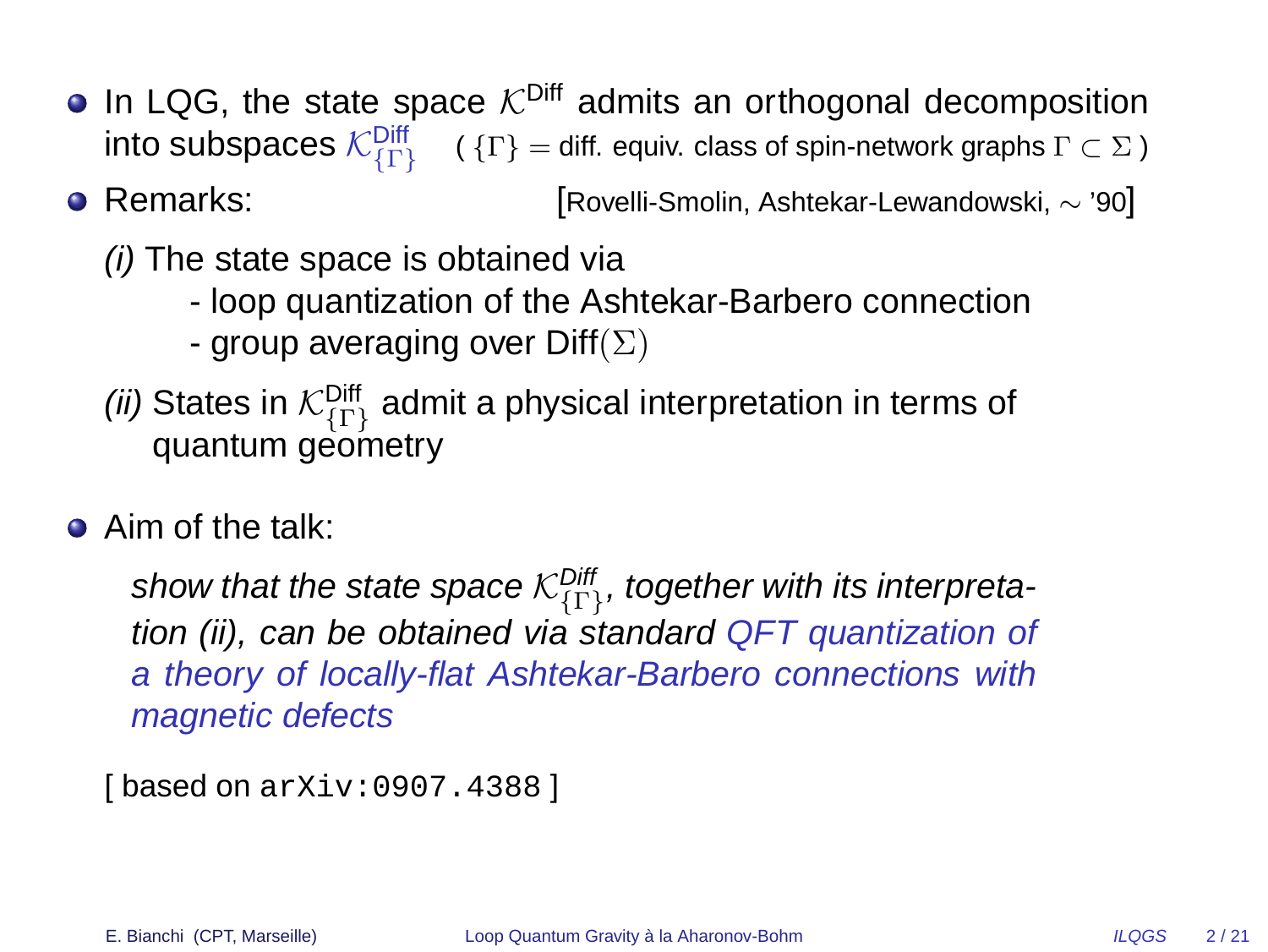- In LQG, the state space  $K^{\text{Diff}}$  admits an orthogonal decomposition  $\sf{into}$  subspaces  $\mathcal{K}^{\sf{Diff}}_{\{\Gamma\}}-\sf(f\Gamma\}=$  diff. equiv. class of spin-network graphs  $\Gamma\subset\Sigma$  )
- Remarks: [Rovelli-Smolin, Ashtekar-Lewandowski, ∼ '90]

(i) The state space is obtained via

- loop quantization of the Ashtekar-Barbero connection
- group averaging over  $\text{Diff}(\Sigma)$
- *(ii)* States in  $\mathcal{K}^\mathsf{Diff}_\{\Gamma\}}$  admit a physical interpretation in terms of quantum geometry
- **•** Aim of the talk:

show that the state space  $\mathcal{K}^\mathsf{Diff}_\{\Gamma\}}$ , together with its interpretation (ii), can be obtained via standard QFT quantization of a theory of locally-flat Ashtekar-Barbero connections with magnetic defects

```
[ based on arXiv:0907.4388 ]
```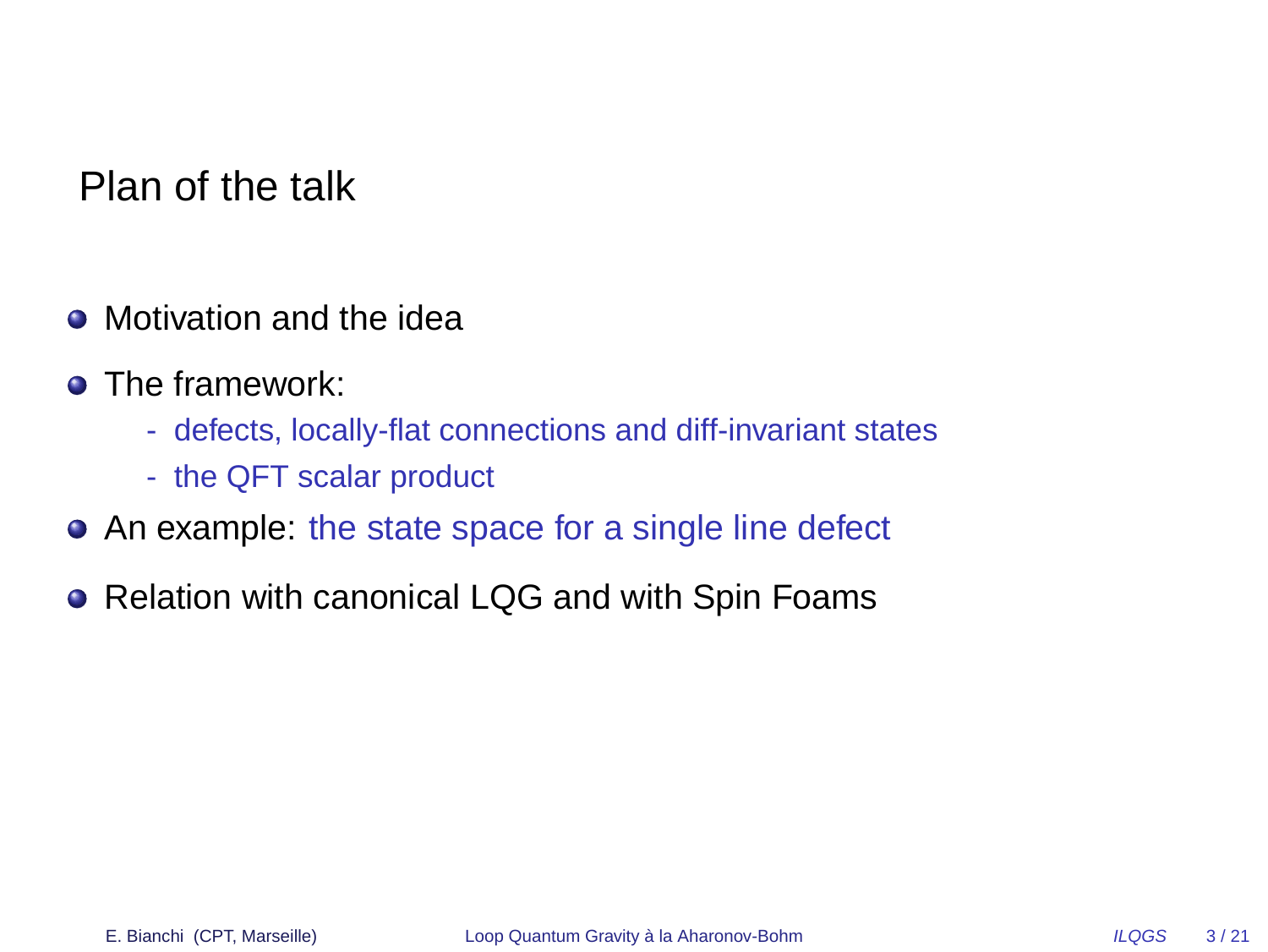Plan of the talk

- Motivation and the idea
- **•** The framework:
	- defects, locally-flat connections and diff-invariant states
	- the QFT scalar product
- An example: the state space for a single line defect
- Relation with canonical LQG and with Spin Foams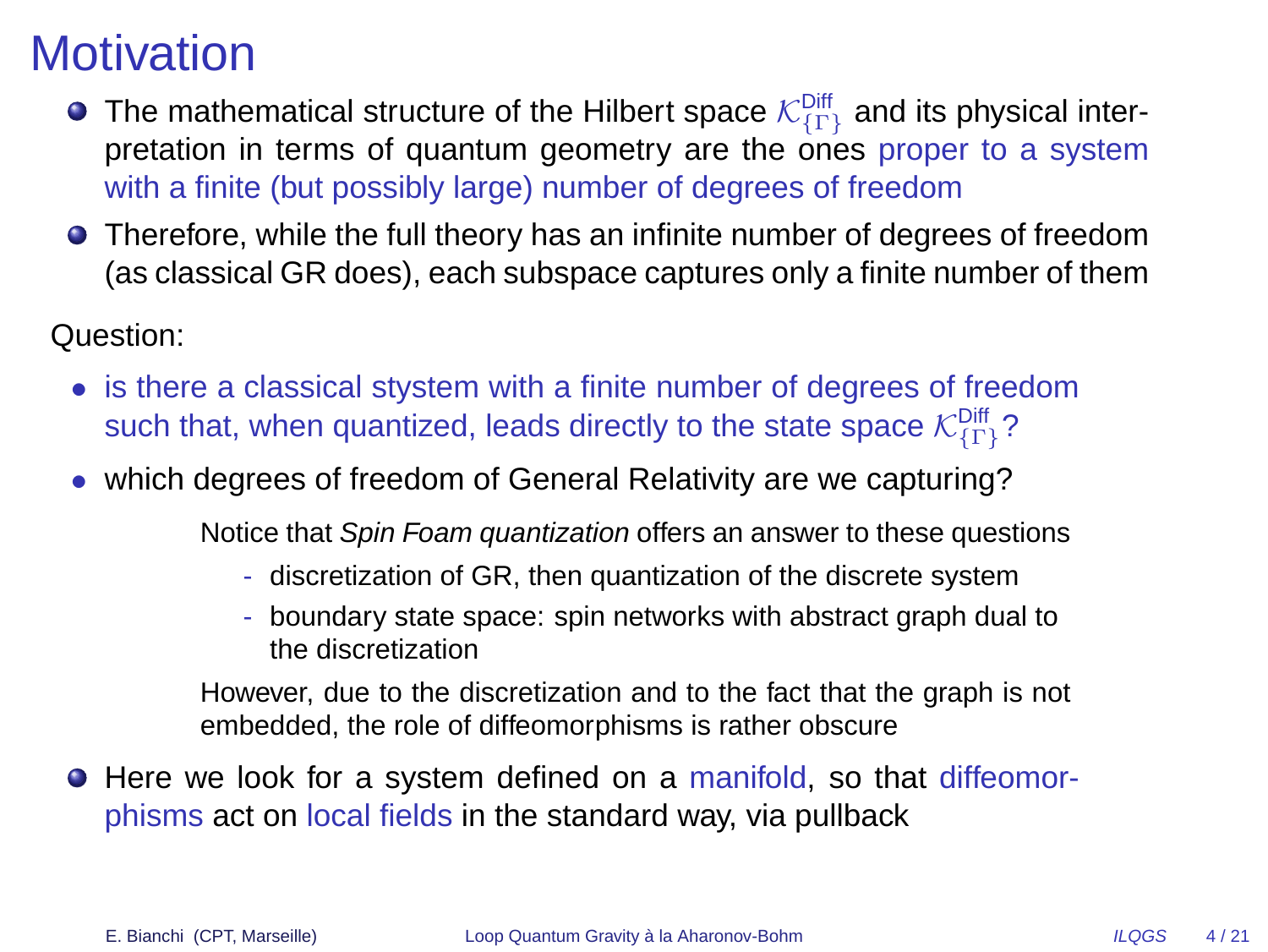# **Motivation**

- The mathematical structure of the Hilbert space  $\mathcal{K}^{\textsf{Diff}}_{\{\Gamma\}}$  and its physical interpretation in terms of quantum geometry are the ones proper to a system with a finite (but possibly large) number of degrees of freedom
- Therefore, while the full theory has an infinite number of degrees of freedom (as classical GR does), each subspace captures only a finite number of them

Question:

- is there a classical stystem with a finite number of degrees of freedom such that, when quantized, leads directly to the state space  $\mathcal{K}^\mathsf{Diff}_{{\{\Gamma\}}}$ ?
- which degrees of freedom of General Relativity are we capturing?

Notice that Spin Foam quantization offers an answer to these questions

- discretization of GR, then quantization of the discrete system
- boundary state space: spin networks with abstract graph dual to the discretization

However, due to the discretization and to the fact that the graph is not embedded, the role of diffeomorphisms is rather obscure

**• Here we look for a system defined on a manifold, so that diffeomor**phisms act on local fields in the standard way, via pullback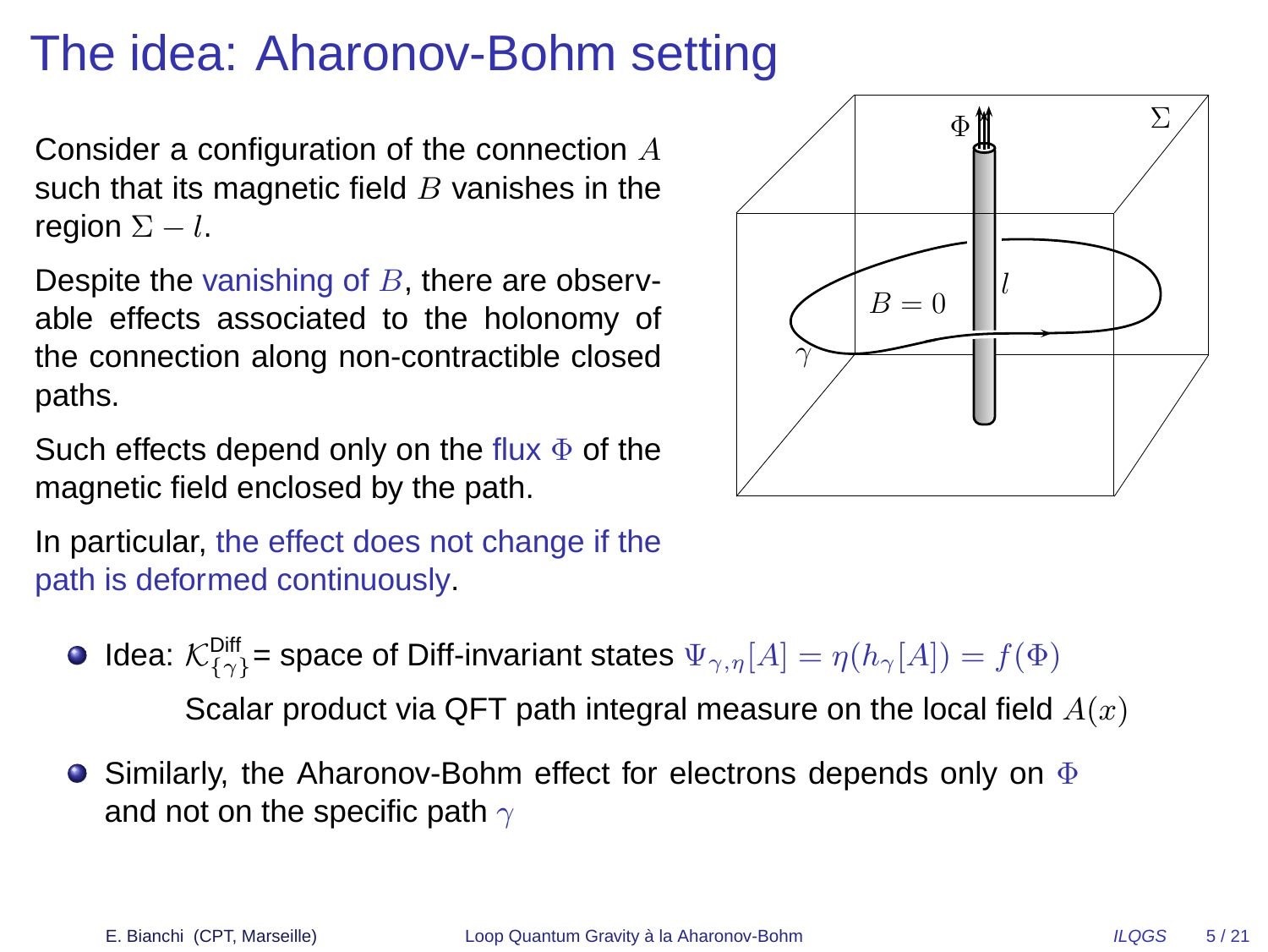# The idea: Aharonov-Bohm setting

Consider a configuration of the connection A such that its magnetic field  $B$  vanishes in the region  $\Sigma - l$ .

Despite the vanishing of  $B$ , there are observable effects associated to the holonomy of the connection along non-contractible closed paths.

Such effects depend only on the flux  $\Phi$  of the magnetic field enclosed by the path.

In particular, the effect does not change if the path is deformed continuously.

- Idea:  $\mathcal{K}^{\textsf{Diff}}_{\{\gamma\}}$  = space of Diff-invariant states  $\Psi_{\gamma,\eta}[A]=\eta(h_\gamma[A])=f(\Phi)$ Scalar product via QFT path integral measure on the local field  $A(x)$
- **•** Similarly, the Aharonov-Bohm effect for electrons depends only on  $\Phi$ and not on the specific path  $\gamma$

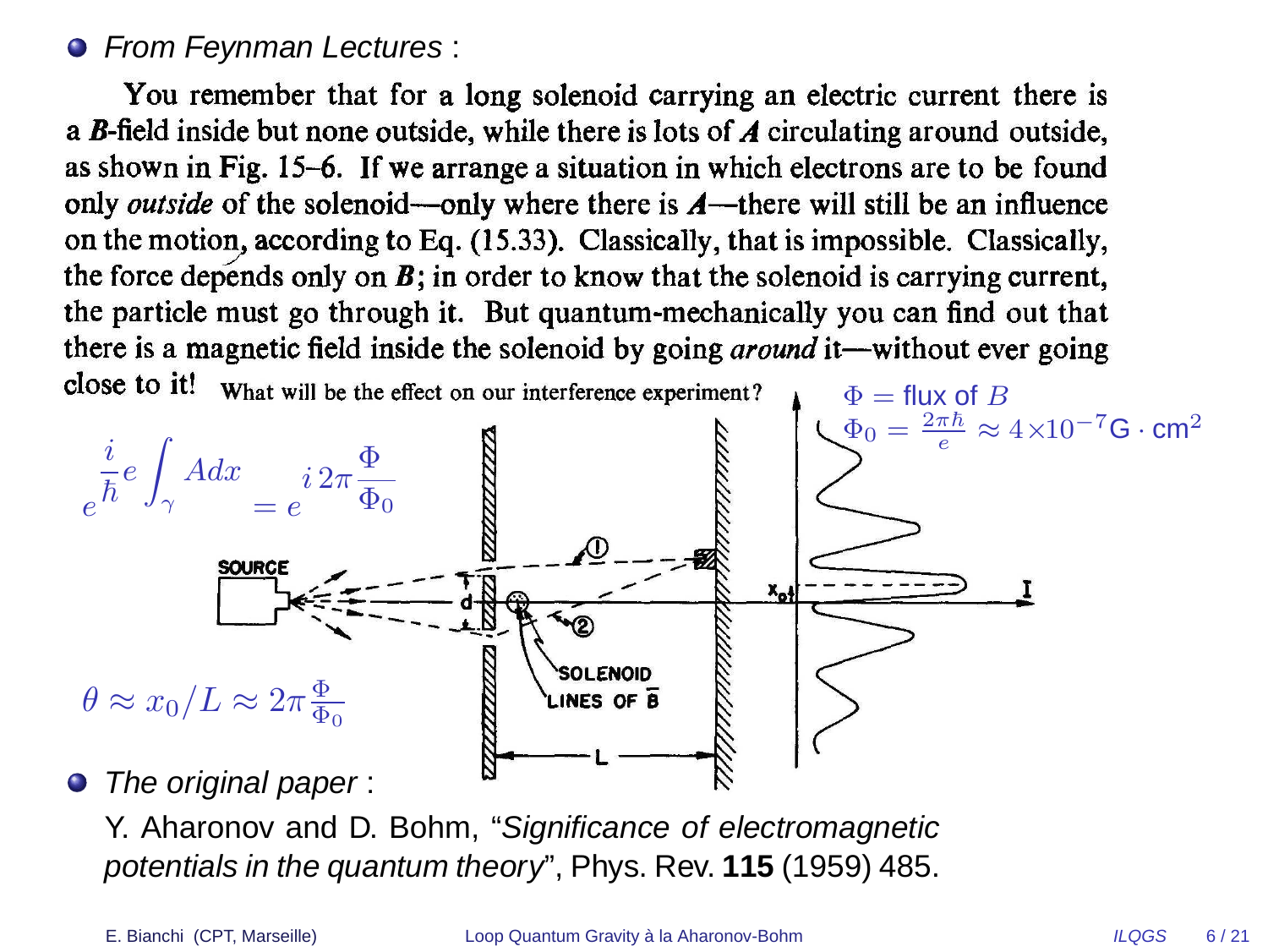#### **• From Feynman Lectures:**

You remember that for a long solenoid carrying an electric current there is a  $B$ -field inside but none outside, while there is lots of  $A$  circulating around outside, as shown in Fig. 15-6. If we arrange a situation in which electrons are to be found only *outside* of the solenoid—only where there is  $A$ —there will still be an influence on the motion, according to Eq. (15.33). Classically, that is impossible. Classically, the force depends only on  $B$ ; in order to know that the solenoid is carrying current, the particle must go through it. But quantum-mechanically you can find out that there is a magnetic field inside the solenoid by going *around* it—without ever going close to it! What will be the effect on our interference experiment?



Y. Aharonov and D. Bohm, "Significance of electromagnetic potentials in the quantum theory", Phys. Rev. **115** (1959) 485.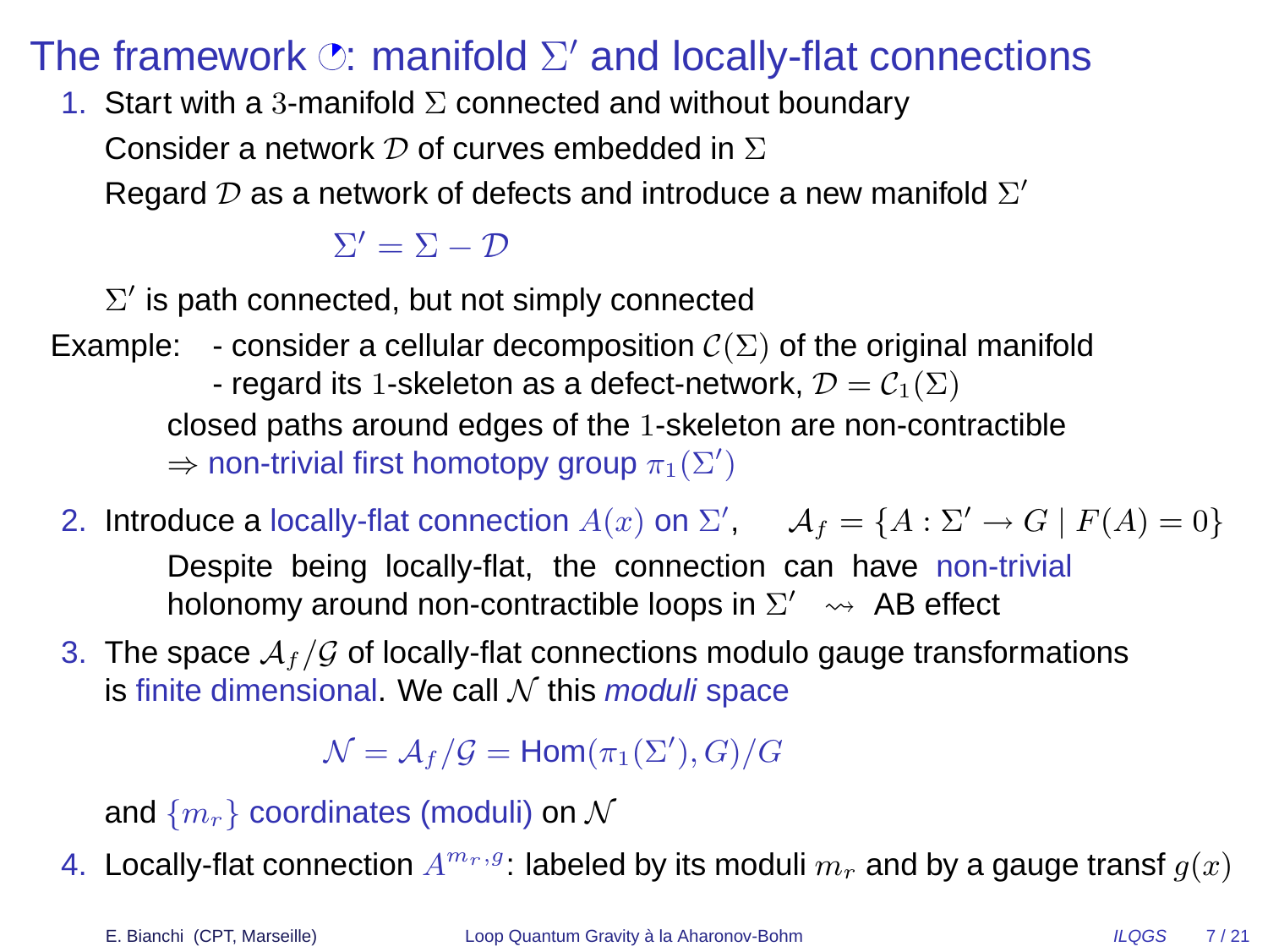## The framework  $\oslash$ : manifold  $\Sigma'$  and locally-flat connections

1. Start with a 3-manifold  $\Sigma$  connected and without boundary

Consider a network  $\mathcal D$  of curves embedded in  $\Sigma$ 

Regard  $\mathcal D$  as a network of defects and introduce a new manifold  $\Sigma'$ 

 $\Sigma' = \Sigma - \mathcal{D}$ 

 $\Sigma'$  is path connected, but not simply connected

- Example: consider a cellular decomposition  $\mathcal{C}(\Sigma)$  of the original manifold - regard its 1-skeleton as a defect-network,  $\mathcal{D} = \mathcal{C}_1(\Sigma)$ closed paths around edges of the 1-skeleton are non-contractible  $\Rightarrow$  non-trivial first homotopy group  $\pi_1(\Sigma')$ 
	- 2. Introduce a locally-flat connection  $A(x)$  on  $\Sigma'$ ,  $A_f = \{A : \Sigma' \to G \mid F(A) = 0\}$ Despite being locally-flat, the connection can have non-trivial holonomy around non-contractible loops in  $\Sigma' \leadsto AB$  effect
- 3. The space  $\mathcal{A}_f/\mathcal{G}$  of locally-flat connections modulo gauge transformations is finite dimensional. We call  $N$  this *moduli* space

 ${\mathcal N}={\mathcal A}_f/{\mathcal G}={\mathsf{Hom}}(\pi_1(\Sigma'),G)/G$ 

and  $\{m_r\}$  coordinates (moduli) on  $\mathcal N$ 

4. Locally-flat connection  $A^{m_r,g}$ : labeled by its moduli  $m_r$  and by a gauge transf  $g(x)$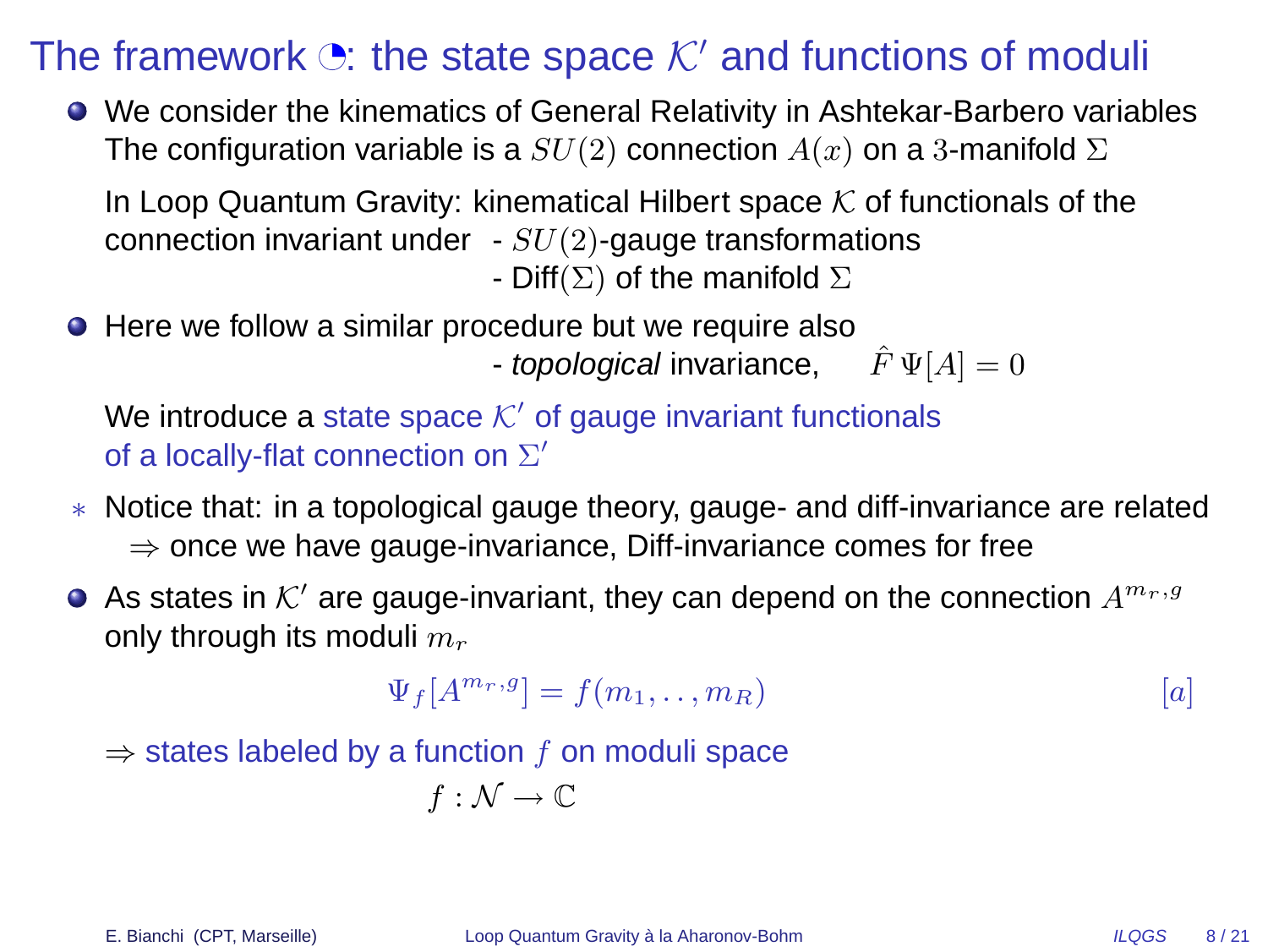### The framework  $\ddot{\mathcal{O}}$ : the state space  $\mathcal{K}'$  and functions of moduli

We consider the kinematics of General Relativity in Ashtekar-Barbero variables The configuration variable is a  $SU(2)$  connection  $A(x)$  on a 3-manifold  $\Sigma$ 

In Loop Quantum Gravity: kinematical Hilbert space  $K$  of functionals of the connection invariant under  $-SU(2)$ -gauge transformations

- Diff( $\Sigma$ ) of the manifold  $\Sigma$ 

● Here we follow a similar procedure but we require also - topological invariance,  $\hat{F} \Psi[A] = 0$ 

We introduce a state space  $\mathcal{K}'$  of gauge invariant functionals of a locally-flat connection on  $\Sigma'$ 

- ∗ Notice that: in a topological gauge theory, gauge- and diff-invariance are related  $\Rightarrow$  once we have gauge-invariance, Diff-invariance comes for free
- As states in  $\mathcal{K}'$  are gauge-invariant, they can depend on the connection  $A^{m_r,g}$ only through its moduli  $m_r$

$$
\Psi_f[A^{m_r,g}] = f(m_1, \dots, m_R) \tag{a}
$$

 $\Rightarrow$  states labeled by a function f on moduli space

$$
f:\mathcal{N}\rightarrow\mathbb{C}
$$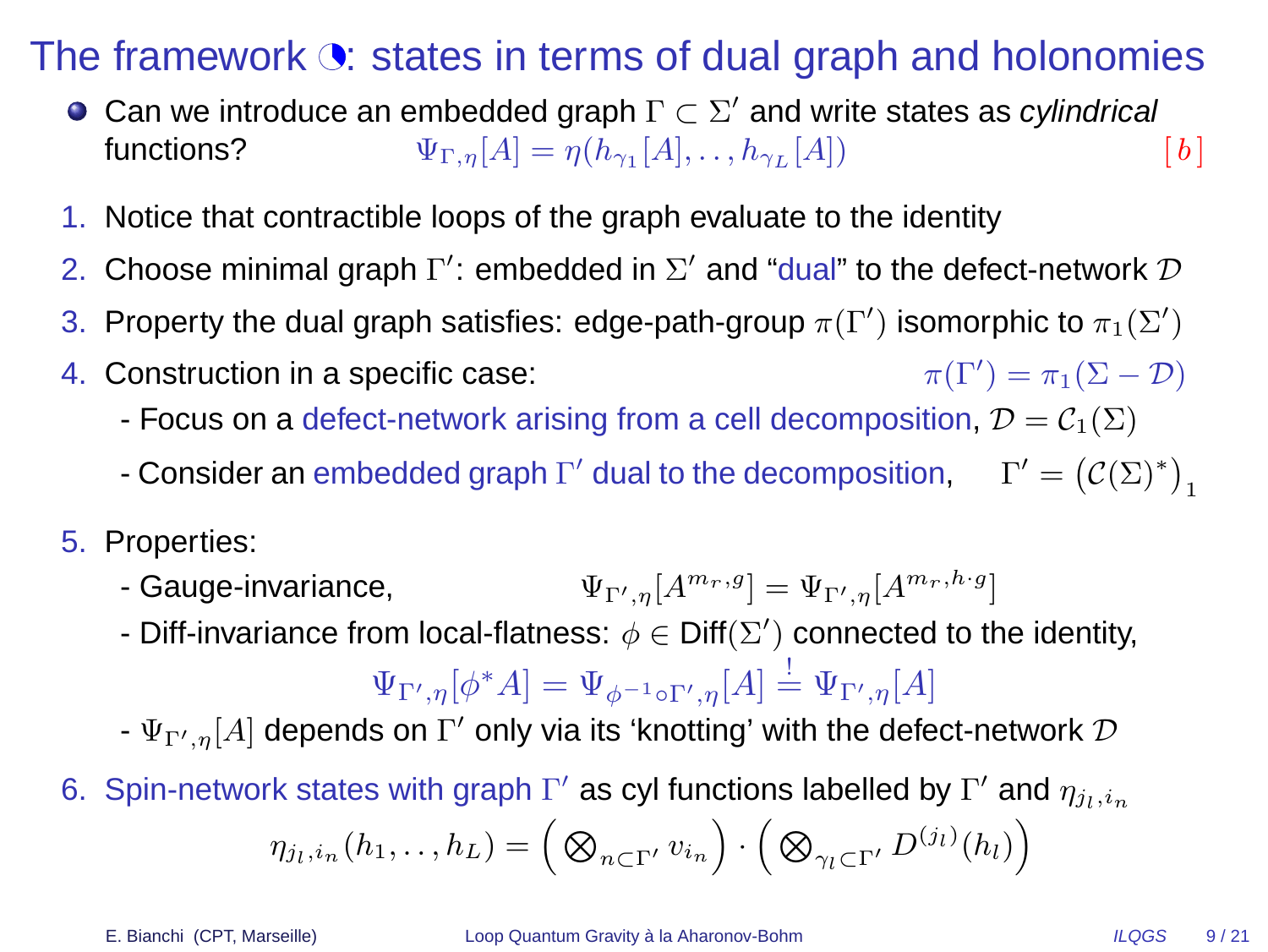### The framework  $\ddot{\bullet}$ : states in terms of dual graph and holonomies

- Can we introduce an embedded graph  $\Gamma\subset \Sigma'$  and write states as cylindrical functions?  $\Psi_{\Gamma,\eta}[A] = \eta(h_{\gamma_1}[A], \dots, h_{\gamma_L}[A])$  [b]
- 1. Notice that contractible loops of the graph evaluate to the identity
- 2. Choose minimal graph  $\Gamma'$ : embedded in  $\Sigma'$  and "dual" to the defect-network  ${\cal D}$
- 3. Property the dual graph satisfies: edge-path-group  $\pi(\Gamma')$  isomorphic to  $\pi_1(\Sigma')$
- 4. Construction in a specific case:  $\pi(\Gamma') = \pi_1(\Sigma - \mathcal{D})$ 
	- Focus on a defect-network arising from a cell decomposition,  $\mathcal{D} = \mathcal{C}_1(\Sigma)$
	- Consider an embedded graph  $\Gamma'$  dual to the decomposition,  $\Gamma' = (\mathcal{C}(\Sigma)^*)_1$
- 5. Properties:
	- Gauge-invariance,  $\mathbf{L}_{\mathcal{D}}[A^{m_r,g}] = \Psi_{\Gamma',\eta}[A^{m_r,h\cdot g}]$
	- Diff-invariance from local-flatness:  $\phi \in \text{Diff}(\Sigma')$  connected to the identity,

$$
\Psi_{\Gamma',\eta}[\phi^*A]=\Psi_{\phi^{-1}\circ \Gamma',\eta}[A]\stackrel{!}{=}\Psi_{\Gamma',\eta}[A]
$$

- $\Psi_{\Gamma',\eta}[A]$  depends on  $\Gamma'$  only via its 'knotting' with the defect-network  ${\cal D}$
- 6. Spin-network states with graph  $\Gamma'$  as cyl functions labelled by  $\Gamma'$  and  $\eta_{j_l,i_n}$  $\eta_{j_l, i_n} (h_1, \ldots, h_L) = \Big( \bigotimes_{n \subset \Gamma'} v_{i_n} \Big) \cdot \Big( \bigotimes_{\gamma_l \subset \Gamma'} D^{(j_l)}(h_l) \Big)$

E. Bianchi (CPT, Marseille) [Loop Quantum Gravity](#page-0-0) à la Aharonov-Bohm  $ILQGS$  9/21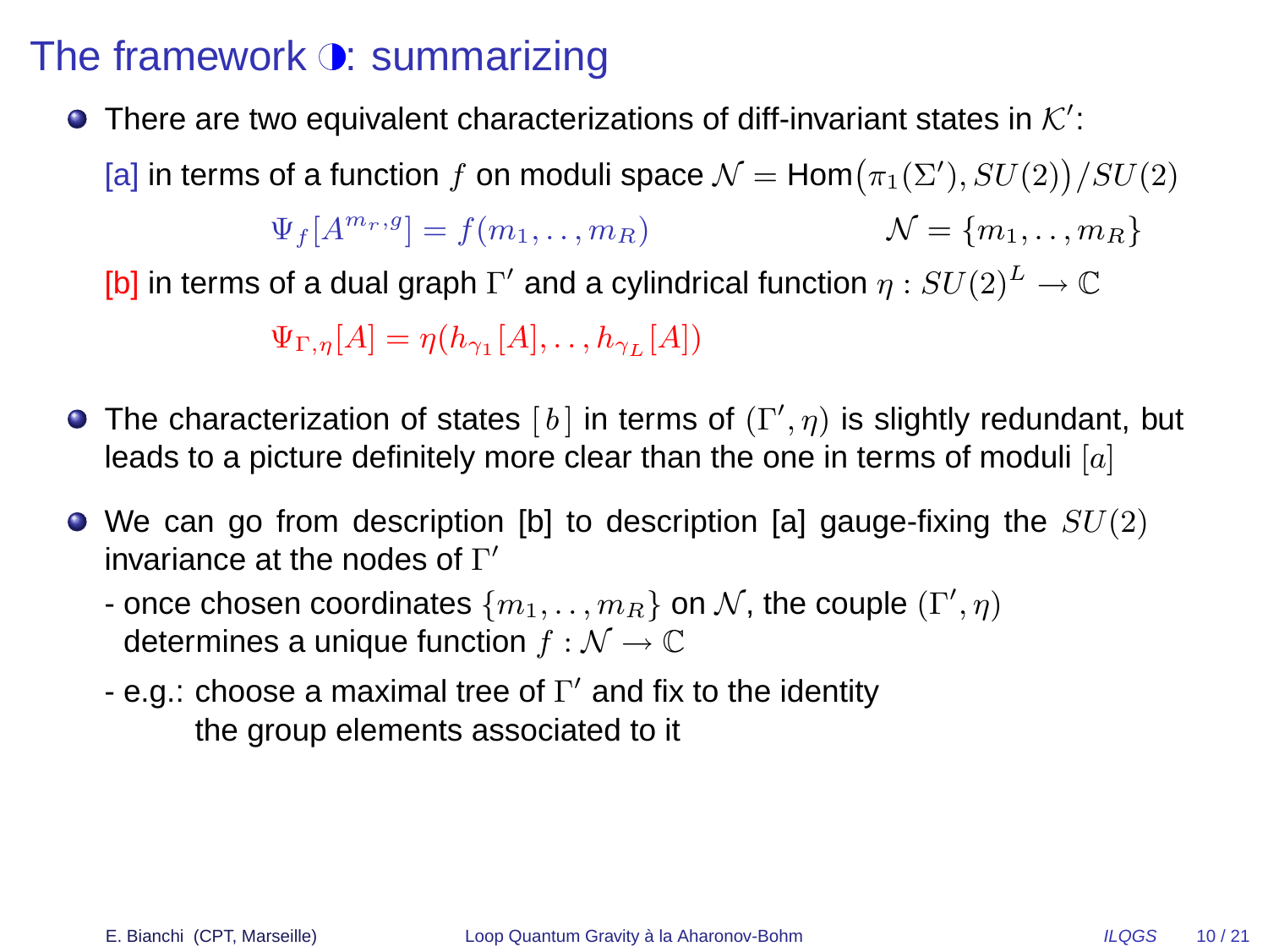### The framework  $\odot$ : summarizing

There are two equivalent characterizations of diff-invariant states in  $\mathcal{K}'$ :

[a] in terms of a function  $f$  on moduli space  $\mathcal{N} = \mathsf{Hom}\big(\pi_1(\Sigma'), SU(2)\big)/SU(2)$ 

 $\Psi_f[A^{m_r,g}] = f(m_1, ..., m_R)$   $\mathcal{N} = \{m_1, ..., m_R\}$ 

[b] in terms of a dual graph  $\Gamma'$  and a cylindrical function  $\eta:SU(2)^L\to\mathbb{C}$ 

 $\Psi_{\Gamma,\eta}[A] = \eta(h_{\gamma_1}[A], \ldots, h_{\gamma_L}[A])$ 

- The characterization of states  $[\,b\,]$  in terms of  $(\Gamma',\eta)$  is slightly redundant, but leads to a picture definitely more clear than the one in terms of moduli  $[a]$
- $\bullet$  We can go from description [b] to description [a] gauge-fixing the  $SU(2)$ invariance at the nodes of  $\Gamma'$ 
	- once chosen coordinates  $\{m_1, \ldots, m_R\}$  on  $\mathcal N,$  the couple  $(\Gamma', \eta)$ determines a unique function  $f : \mathcal{N} \to \mathbb{C}$
	- e.g.: choose a maximal tree of  $\Gamma'$  and fix to the identity the group elements associated to it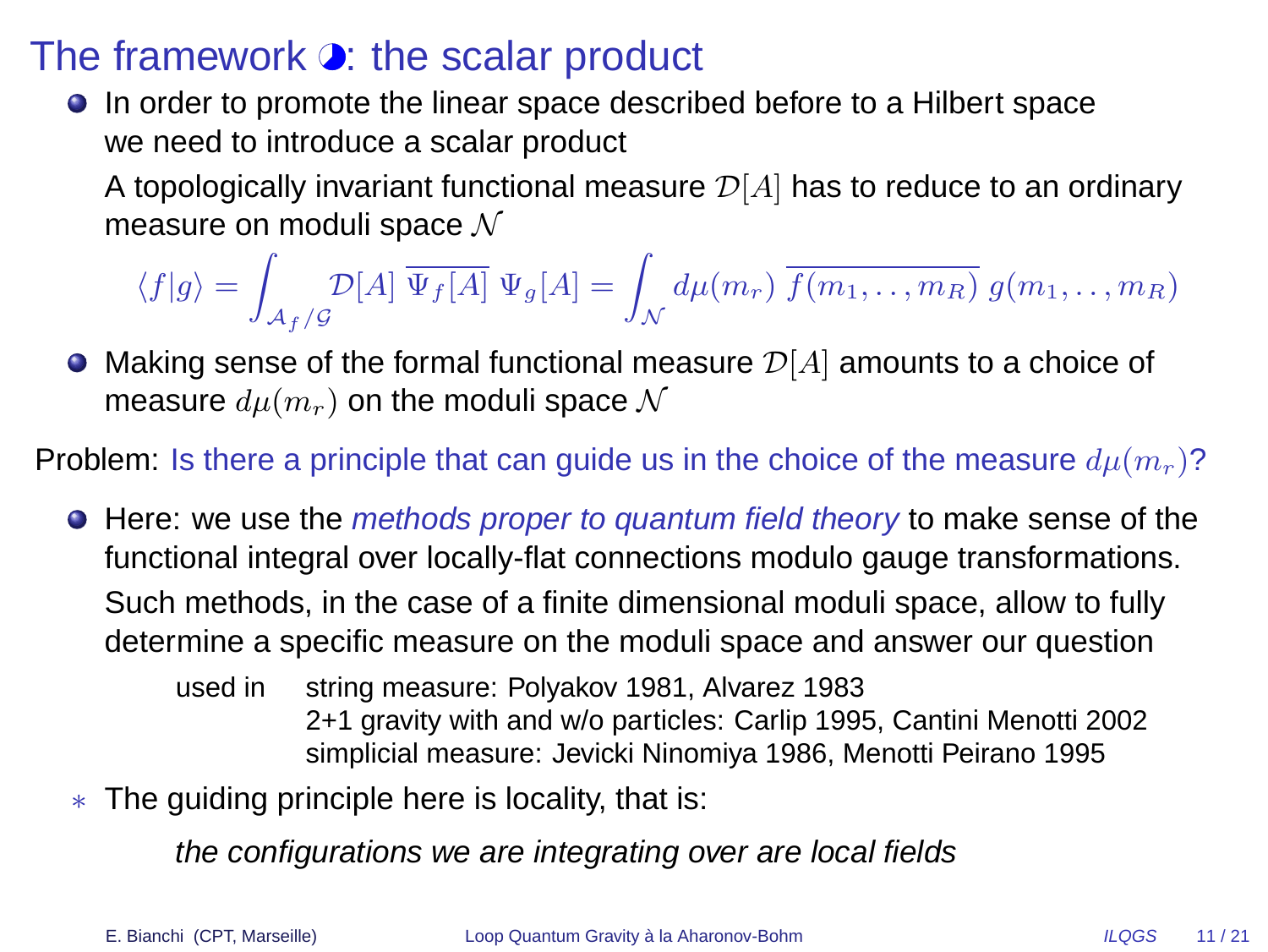### The framework  $\bullet$ : the scalar product

**In order to promote the linear space described before to a Hilbert space** we need to introduce a scalar product

A topologically invariant functional measure  $\mathcal{D}[A]$  has to reduce to an ordinary measure on moduli space  $\mathcal N$ 

$$
\langle f|g\rangle = \int_{\mathcal{A}_f/\mathcal{G}} \mathcal{D}[A] \overline{\Psi_f[A]} \Psi_g[A] = \int_{\mathcal{N}} d\mu(m_r) \overline{f(m_1, \dots, m_R)} \ g(m_1, \dots, m_R)
$$

 $\bullet$  Making sense of the formal functional measure  $\mathcal{D}[A]$  amounts to a choice of measure  $d\mu(m_r)$  on the moduli space N

**Problem:** Is there a principle that can guide us in the choice of the measure  $d\mu(m_r)$ ?

 $\bullet$  Here: we use the *methods proper to quantum field theory* to make sense of the functional integral over locally-flat connections modulo gauge transformations. Such methods, in the case of a finite dimensional moduli space, allow to fully determine a specific measure on the moduli space and answer our question

used in string measure: Polyakov 1981, Alvarez 1983 2+1 gravity with and w/o particles: Carlip 1995, Cantini Menotti 2002 simplicial measure: Jevicki Ninomiya 1986, Menotti Peirano 1995

∗ The guiding principle here is locality, that is:

the configurations we are integrating over are local fields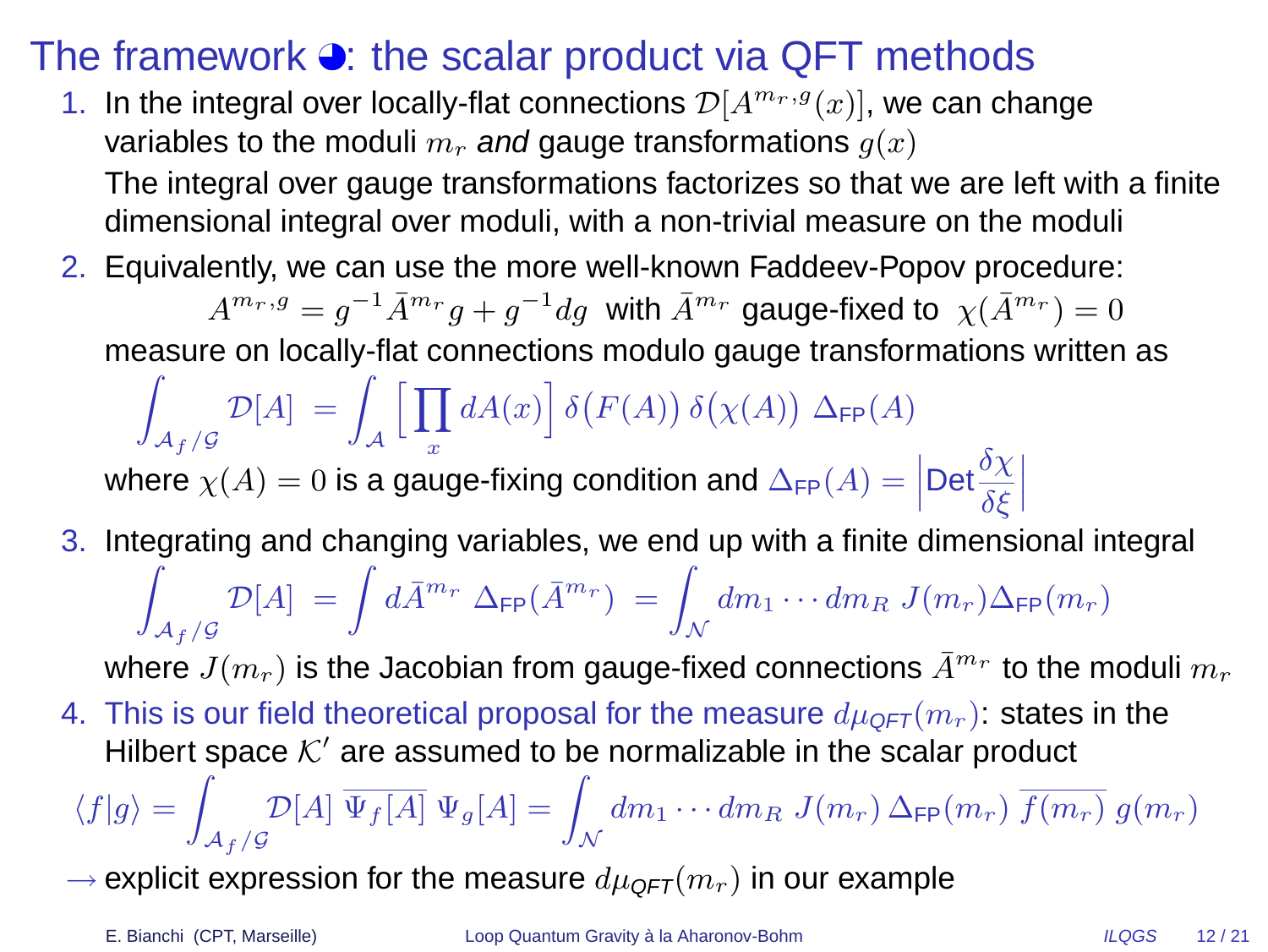### The framework  $\bullet$ : the scalar product via QFT methods

- 1. In the integral over locally-flat connections  $\mathcal{D}[A^{m_r,g}(x)],$  we can change variables to the moduli  $m_r$  and gauge transformations  $q(x)$ The integral over gauge transformations factorizes so that we are left with a finite dimensional integral over moduli, with a non-trivial measure on the moduli
- 2. Equivalently, we can use the more well-known Faddeev-Popov procedure:

 $A^{m_r,g}=g^{-1}\bar{A}^{m_r}g+g^{-1}dg$  with  $\bar{A}^{m_r}$  gauge-fixed to  $\ \chi(\bar{A}^{m_r})=0$ 

measure on locally-flat connections modulo gauge transformations written as

Z  $\mathcal{A}_f/\mathcal{G}$  $\mathcal{D}[A] = \int_{\mathcal{A}}$ hY x  $dA(x)\big\vert\ \delta\big(F(A)\big)\ \delta\big(\chi(A)\big)\ \Delta_{\mathsf{FP}}(A)$ 

where  $\chi(A) = 0$  is a gauge-fixing condition and  $\Delta_{\text{FP}}(A) = \left| \text{Det} \frac{\delta \chi}{\delta \xi} \right|$  $\begin{array}{c} \begin{array}{c} \begin{array}{c} \end{array}\\ \begin{array}{c} \end{array} \end{array} \end{array}$ 

3. Integrating and changing variables, we end up with a finite dimensional integral Z  $\mathcal{A}_f/\mathcal{G}$  $\mathcal{D}[A] \ = \int d{\bar A}^{m_r} \ \Delta_{\mathsf{FP}}({\bar A}^{m_r}) \ = \int_{\mathcal{N}} d{m_1} \cdots d{m_R} \ J(m_r) \Delta_{\mathsf{FP}}(m_r)$ 

where  $J(m_r)$  is the Jacobian from gauge-fixed connections  $\bar{A}^{m_r}$  to the moduli  $m_r$ 

4. This is our field theoretical proposal for the measure  $d\mu_{QFT}(m_r)$ : states in the Hilbert space  $K'$  are assumed to be normalizable in the scalar product

$$
\langle f|g\rangle = \int_{\mathcal{A}_f/\mathcal{G}} \mathcal{D}[A] \overline{\Psi_f[A]} \Psi_g[A] = \int_{\mathcal{N}} dm_1 \cdots dm_R \ J(m_r) \Delta_{\mathsf{FP}}(m_r) \overline{f(m_r)} \ g(m_r)
$$

 $\rightarrow$  explicit expression for the measure  $d\mu_{\text{QFT}}(m_r)$  in our example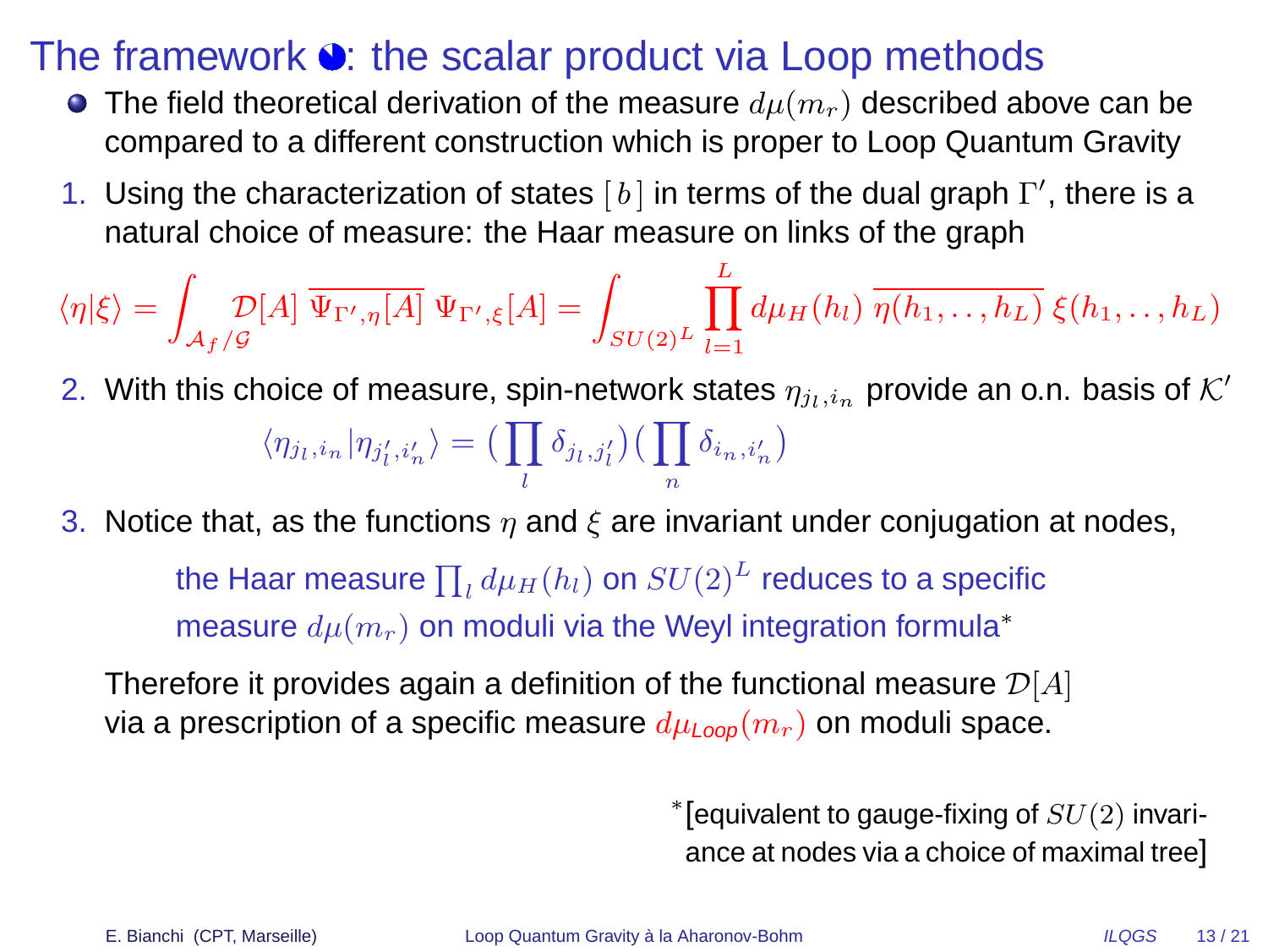#### The framework  $\bullet$ : the scalar product via Loop methods

- $\bullet$  The field theoretical derivation of the measure  $d\mu(m_r)$  described above can be compared to a different construction which is proper to Loop Quantum Gravity
- 1. Using the characterization of states  $[b]$  in terms of the dual graph  $\Gamma'$ , there is a natural choice of measure: the Haar measure on links of the graph

$$
\langle \eta | \xi \rangle = \int_{\mathcal{A}_f/\mathcal{G}} \mathcal{D}[A] \, \overline{\Psi_{\Gamma',\eta}[A]} \, \Psi_{\Gamma',\xi}[A] = \int_{SU(2)^L} \prod_{l=1}^L d\mu_H(h_l) \, \overline{\eta(h_1,\ldots,h_L)} \, \xi(h_1,\ldots,h_L)
$$

- 2. With this choice of measure, spin-network states  $\eta_{j_l,i_n}$  provide an o.n. basis of  $\mathcal{K}'$  $\langle \eta_{j_l,i_n} | \eta_{j'_l,i'_n} \rangle = \big(\prod \delta_{j_l,j'_l}\big) \big(\prod \delta_{i_n,i'_n}\big)$ l n
- 3. Notice that, as the functions  $\eta$  and  $\xi$  are invariant under conjugation at nodes,

the Haar measure  $\prod_l d\mu_H(h_l)$  on  $SU(2)^L$  reduces to a specific measure  $d\mu(m_r)$  on moduli via the Weyl integration formula<sup>\*</sup>

Therefore it provides again a definition of the functional measure  $\mathcal{D}[A]$ via a prescription of a specific measure  $d\mu_{Loop}(m_r)$  on moduli space.

> $*$  [equivalent to gauge-fixing of  $SU(2)$  invariance at nodes via a choice of maximal tree]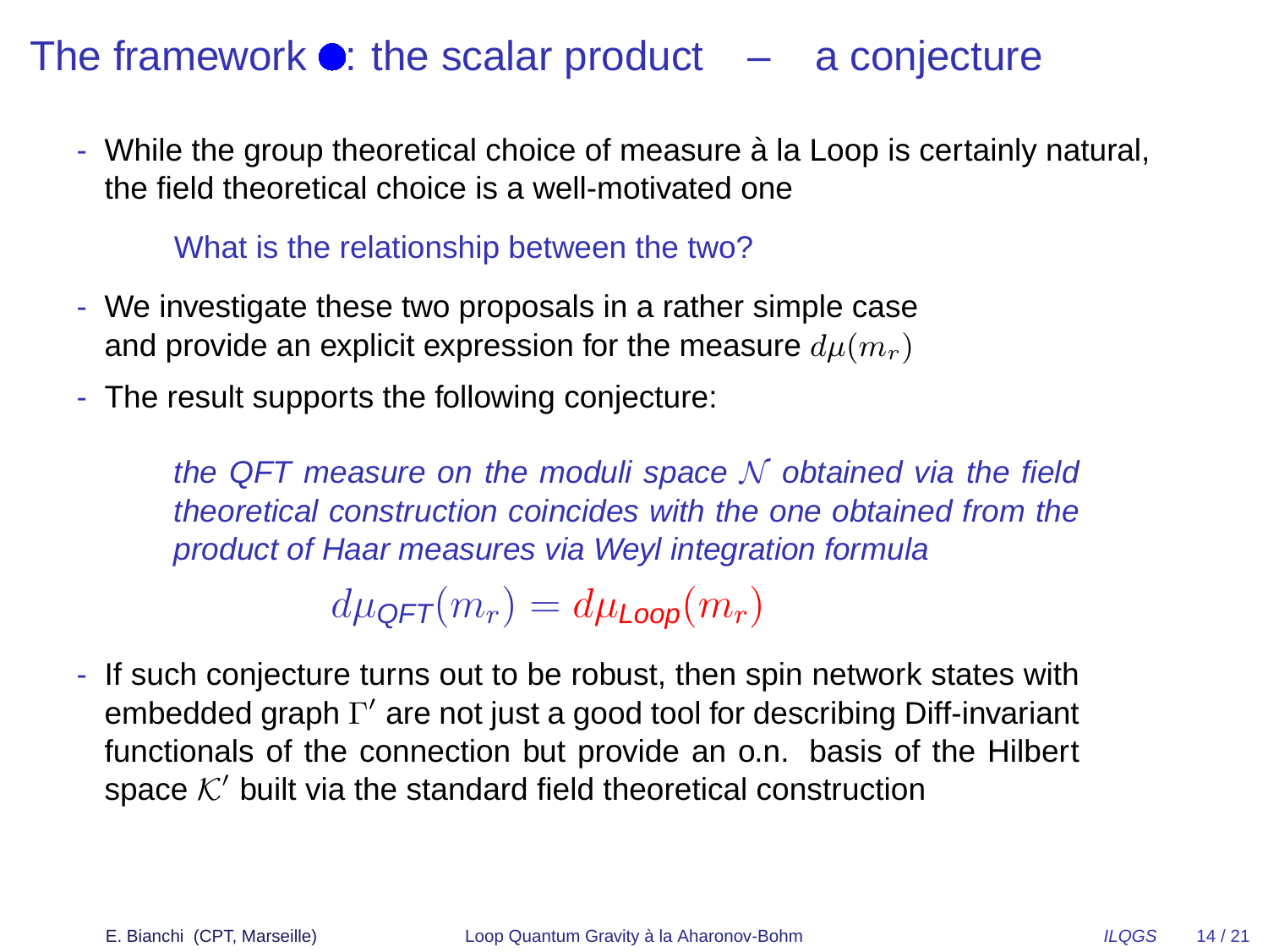### The framework  $\bullet$ : the scalar product  $-$  a conjecture

- While the group theoretical choice of measure à la Loop is certainly natural, the field theoretical choice is a well-motivated one

#### What is the relationship between the two?

- We investigate these two proposals in a rather simple case and provide an explicit expression for the measure  $d\mu(m_r)$
- The result supports the following conjecture:

the QFT measure on the moduli space  $N$  obtained via the field theoretical construction coincides with the one obtained from the product of Haar measures via Weyl integration formula

 $d\mu_{\text{QFT}}(m_r) = d\mu_{\text{loop}}(m_r)$ 

- If such conjecture turns out to be robust, then spin network states with embedded graph Γ' are not just a good tool for describing Diff-invariant functionals of the connection but provide an o.n. basis of the Hilbert space  $K'$  built via the standard field theoretical construction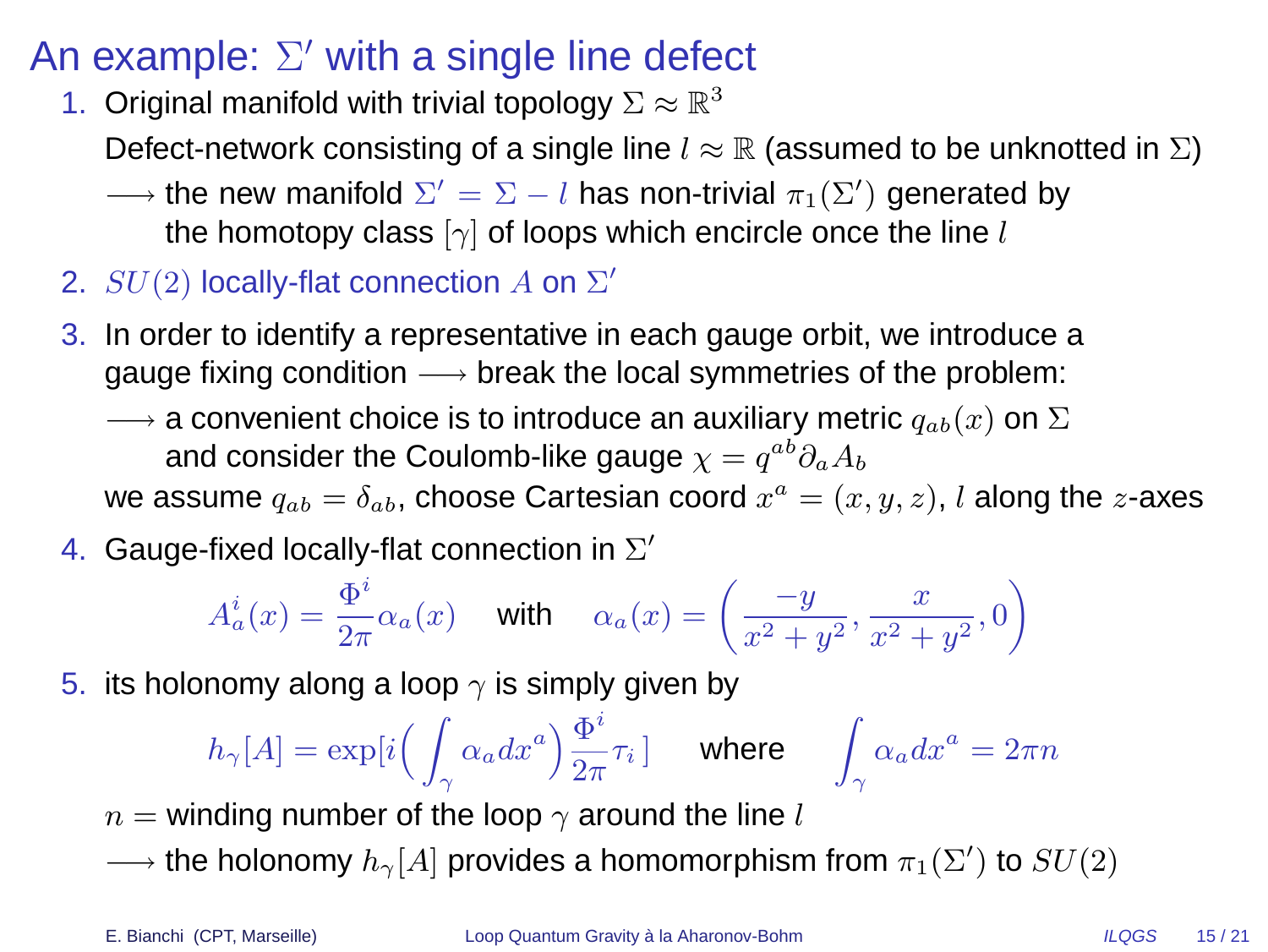## An example:  $\Sigma'$  with a single line defect

1. Original manifold with trivial topology  $\Sigma \approx \mathbb{R}^3$ 

Defect-network consisting of a single line  $l \approx \mathbb{R}$  (assumed to be unknotted in  $\Sigma$ )

- $\longrightarrow$  the new manifold  $\Sigma' = \Sigma l$  has non-trivial  $\pi_1(\Sigma')$  generated by the homotopy class  $[\gamma]$  of loops which encircle once the line l
- 2.  $SU(2)$  locally-flat connection  $A$  on  $\Sigma'$
- 3. In order to identify a representative in each gauge orbit, we introduce a gauge fixing condition  $\longrightarrow$  break the local symmetries of the problem:
	- $\rightarrow$  a convenient choice is to introduce an auxiliary metric  $q_{ab}(x)$  on  $\Sigma$ and consider the Coulomb-like gauge  $\chi = q^{ab} \partial_a A_b$

we assume  $q_{ab} = \delta_{ab}$ , choose Cartesian coord  $x^a = (x,y,z)$ ,  $l$  along the  $z$ -axes

4. Gauge-fixed locally-flat connection in  $\Sigma'$ 

$$
A_a^i(x) = \frac{\Phi^i}{2\pi} \alpha_a(x) \quad \text{ with } \quad \alpha_a(x) = \left(\frac{-y}{x^2 + y^2}, \frac{x}{x^2 + y^2}, 0\right)
$$

5. its holonomy along a loop  $\gamma$  is simply given by

$$
h_\gamma[A]=\exp[i\Big(\int_\gamma \alpha_a dx^a\Big)\frac{\Phi^i}{2\pi}\tau_i\,\big]\quad\text{ where }\quad\int_\gamma \alpha_a dx^a=2\pi n
$$

- $n =$  winding number of the loop  $\gamma$  around the line l
- $\longrightarrow$  the holonomy  $h_{\gamma}[A]$  provides a homomorphism from  $\pi_1(\Sigma')$  to  $SU(2)$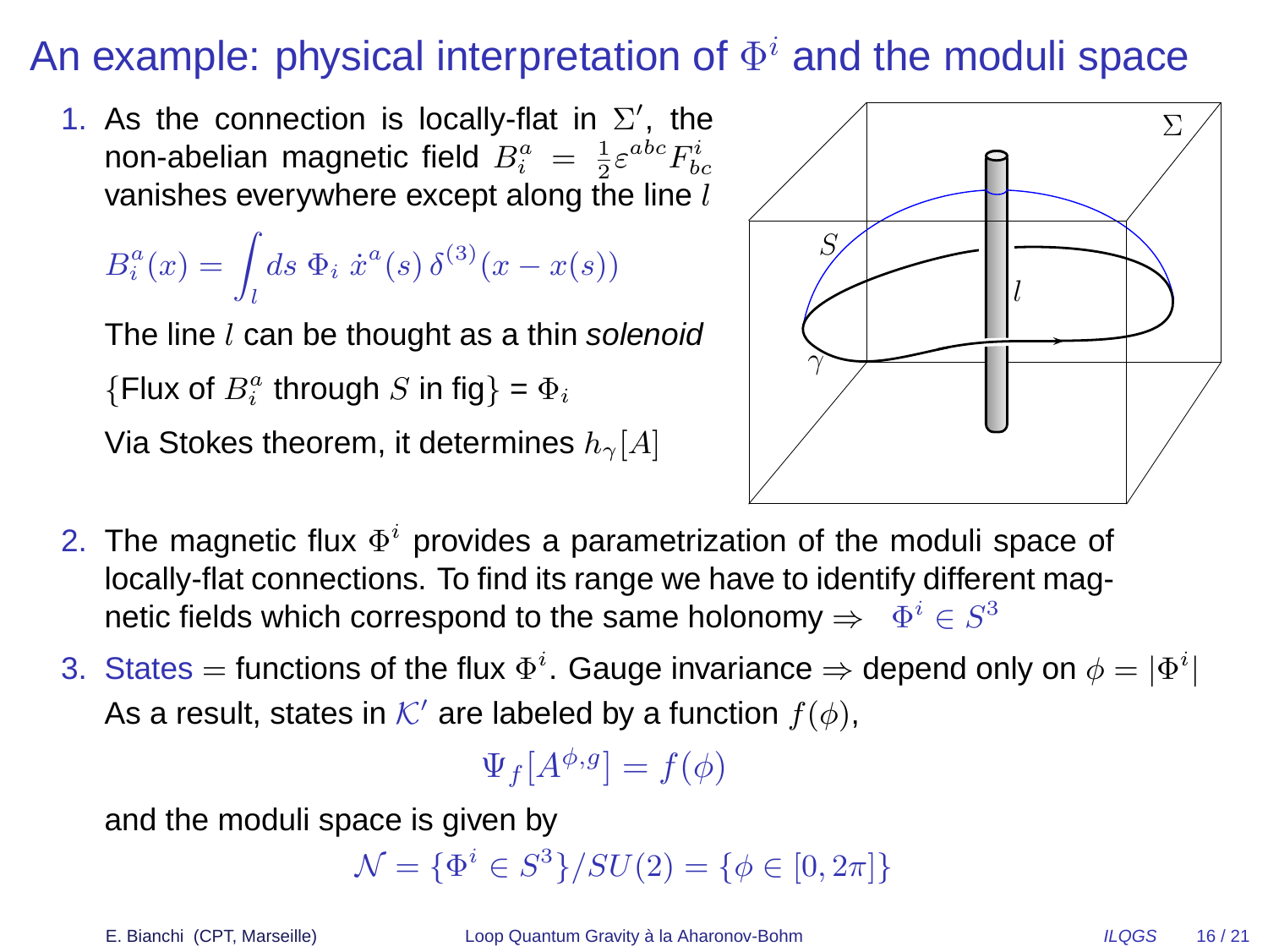# An example: physical interpretation of  $\Phi^i$  and the moduli space

1. As the connection is locally-flat in  $\Sigma'$ , the non-abelian magnetic field  $B^a_i = \frac{1}{2} \varepsilon^{abc} F^i_{bc}$ vanishes everywhere except along the line  $l$ 

$$
B_i^a(x) = \int_l ds \ \Phi_i \ \dot{x}^a(s) \, \delta^{(3)}(x - x(s))
$$

The line  $l$  can be thought as a thin solenoid {Flux of  $B_i^a$  through S in fig} =  $\Phi_i$ 

Via Stokes theorem, it determines  $h_{\gamma}[A]$ 



- 2. The magnetic flux  $\Phi^i$  provides a parametrization of the moduli space of locally-flat connections. To find its range we have to identify different magnetic fields which correspond to the same holonomy  $\Rightarrow \;\; \Phi^i \in S^3$
- 3. States = functions of the flux  $\Phi^i$ . Gauge invariance  $\Rightarrow$  depend only on  $\phi = |\Phi^i|$ As a result, states in  $\mathcal{K}'$  are labeled by a function  $f(\phi)$ ,

$$
\Psi_f[A^{\phi,g}] = f(\phi)
$$

and the moduli space is given by

 $\mathcal{N} = {\{\Phi^i \in S^3\}} / SU(2) = {\{\phi \in [0, 2\pi]\}}$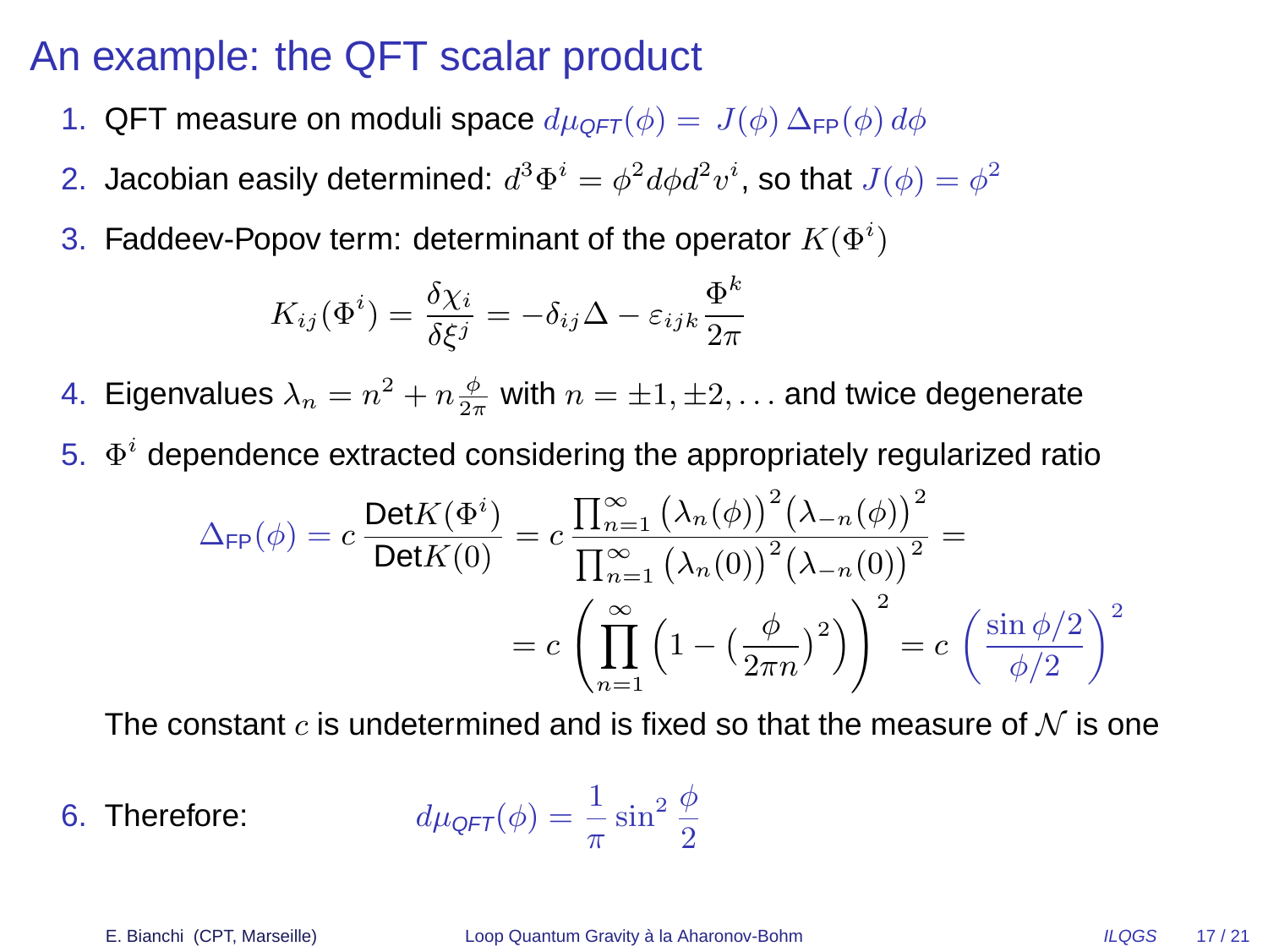#### An example: the QFT scalar product

- 1. QFT measure on moduli space  $d\mu_{QFT}(\phi) = J(\phi) \Delta_{FP}(\phi) d\phi$
- 2. Jacobian easily determined:  $d^3\Phi^i=\phi^2 d\phi d^2v^i$ , so that  $J(\phi)=\phi^2$
- 3. Faddeev-Popov term: determinant of the operator  $K(\Phi^i)$

$$
K_{ij}(\Phi^i) = \frac{\delta \chi_i}{\delta \xi^j} = -\delta_{ij}\Delta - \varepsilon_{ijk}\frac{\Phi^k}{2\pi}
$$

- 4. Eigenvalues  $\lambda_n = n^2 + n \frac{\phi}{2\pi}$  with  $n = \pm 1, \pm 2, \ldots$  and twice degenerate
- 5.  $\Phi^i$  dependence extracted considering the appropriately regularized ratio

$$
\Delta_{\text{FP}}(\phi) = c \frac{\text{Det} K(\Phi^i)}{\text{Det} K(0)} = c \frac{\prod_{n=1}^{\infty} (\lambda_n(\phi))^2 (\lambda_{-n}(\phi))^2}{\prod_{n=1}^{\infty} (\lambda_n(0))^2 (\lambda_{-n}(0))^2} =
$$

$$
= c \left( \prod_{n=1}^{\infty} \left( 1 - \left( \frac{\phi}{2\pi n} \right)^2 \right) \right)^2 = c \left( \frac{\sin \phi/2}{\phi/2} \right)^2
$$

The constant c is undetermined and is fixed so that the measure of  $\mathcal N$  is one

6. Therefore: 
$$
d\mu_{\text{QFT}}(\phi) = \frac{1}{\pi} \sin^2 \frac{\phi}{2}
$$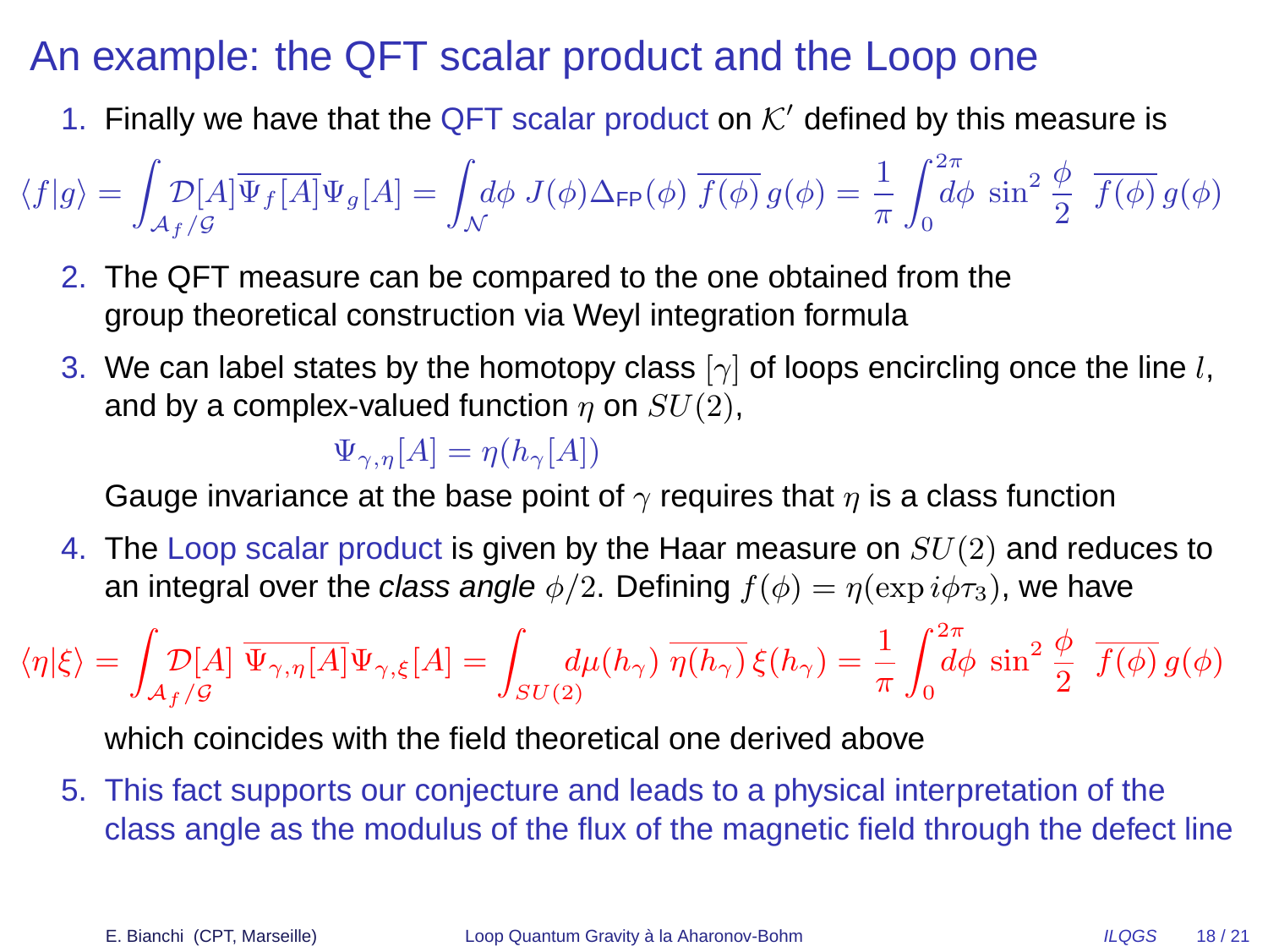### An example: the QFT scalar product and the Loop one

1. Finally we have that the QFT scalar product on  $K'$  defined by this measure is

$$
\langle f|g\rangle = \int_{\mathcal{A}_f/\mathcal{G}} D[A] \overline{\Psi_f[A]} \Psi_g[A] = \int_{\mathcal{N}} d\phi \ J(\phi) \Delta_{\mathsf{FP}}(\phi) \ \overline{f(\phi)} \ g(\phi) = \frac{1}{\pi} \int_0^{2\pi} d\phi \ \sin^2 \frac{\phi}{2} \ \overline{f(\phi)} \ g(\phi)
$$

- 2. The QFT measure can be compared to the one obtained from the group theoretical construction via Weyl integration formula
- 3. We can label states by the homotopy class  $[\gamma]$  of loops encircling once the line l, and by a complex-valued function  $\eta$  on  $SU(2)$ ,

 $\Psi_{\gamma,n}[A] = \eta(h_{\gamma}[A])$ 

Gauge invariance at the base point of  $\gamma$  requires that  $\eta$  is a class function

4. The Loop scalar product is given by the Haar measure on  $SU(2)$  and reduces to an integral over the class angle  $\phi/2$ . Defining  $f(\phi) = \eta(\exp i \phi \tau_3)$ , we have

$$
\langle \eta | \xi \rangle = \int_{\mathcal{A}_f/\mathcal{G}} \mathcal{D}[A] \, \overline{\Psi_{\gamma,\eta}[A]} \Psi_{\gamma,\xi}[A] = \int_{SU(2)} d\mu(h_{\gamma}) \, \overline{\eta(h_{\gamma})} \, \xi(h_{\gamma}) = \frac{1}{\pi} \int_0^{2\pi} d\phi \, \sin^2 \frac{\phi}{2} \, \overline{f(\phi)} \, g(\phi)
$$

which coincides with the field theoretical one derived above

5. This fact supports our conjecture and leads to a physical interpretation of the class angle as the modulus of the flux of the magnetic field through the defect line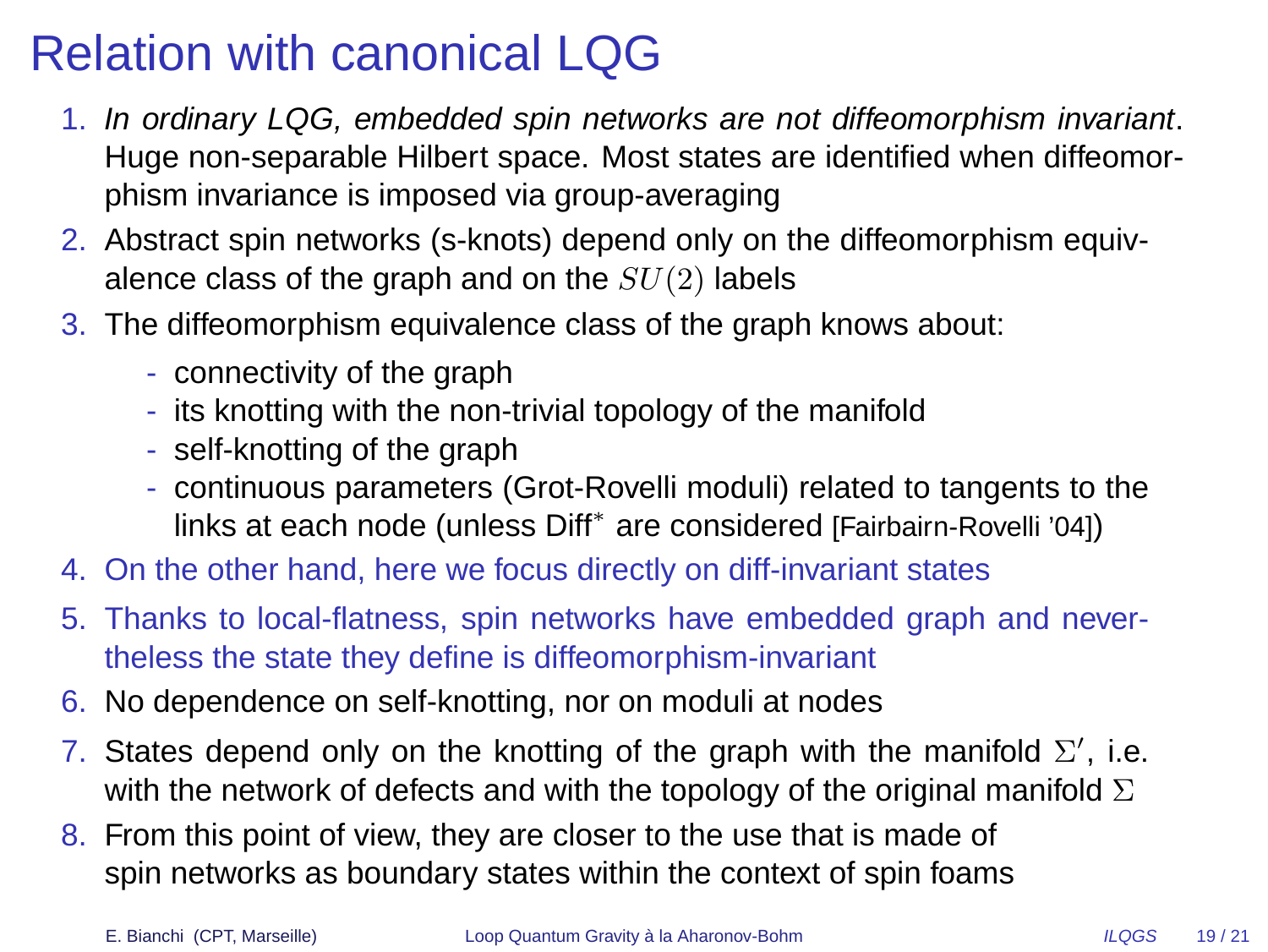# Relation with canonical LQG

- 1. In ordinary LQG, embedded spin networks are not diffeomorphism invariant. Huge non-separable Hilbert space. Most states are identified when diffeomorphism invariance is imposed via group-averaging
- 2. Abstract spin networks (s-knots) depend only on the diffeomorphism equivalence class of the graph and on the  $SU(2)$  labels
- 3. The diffeomorphism equivalence class of the graph knows about:
	- connectivity of the graph
	- its knotting with the non-trivial topology of the manifold
	- self-knotting of the graph
	- continuous parameters (Grot-Rovelli moduli) related to tangents to the links at each node (unless Diff<sup>∗</sup> are considered [Fairbairn-Rovelli '04])
- 4. On the other hand, here we focus directly on diff-invariant states
- 5. Thanks to local-flatness, spin networks have embedded graph and nevertheless the state they define is diffeomorphism-invariant
- 6. No dependence on self-knotting, nor on moduli at nodes
- 7. States depend only on the knotting of the graph with the manifold  $\Sigma'$ , i.e. with the network of defects and with the topology of the original manifold  $\Sigma$
- 8. From this point of view, they are closer to the use that is made of spin networks as boundary states within the context of spin foams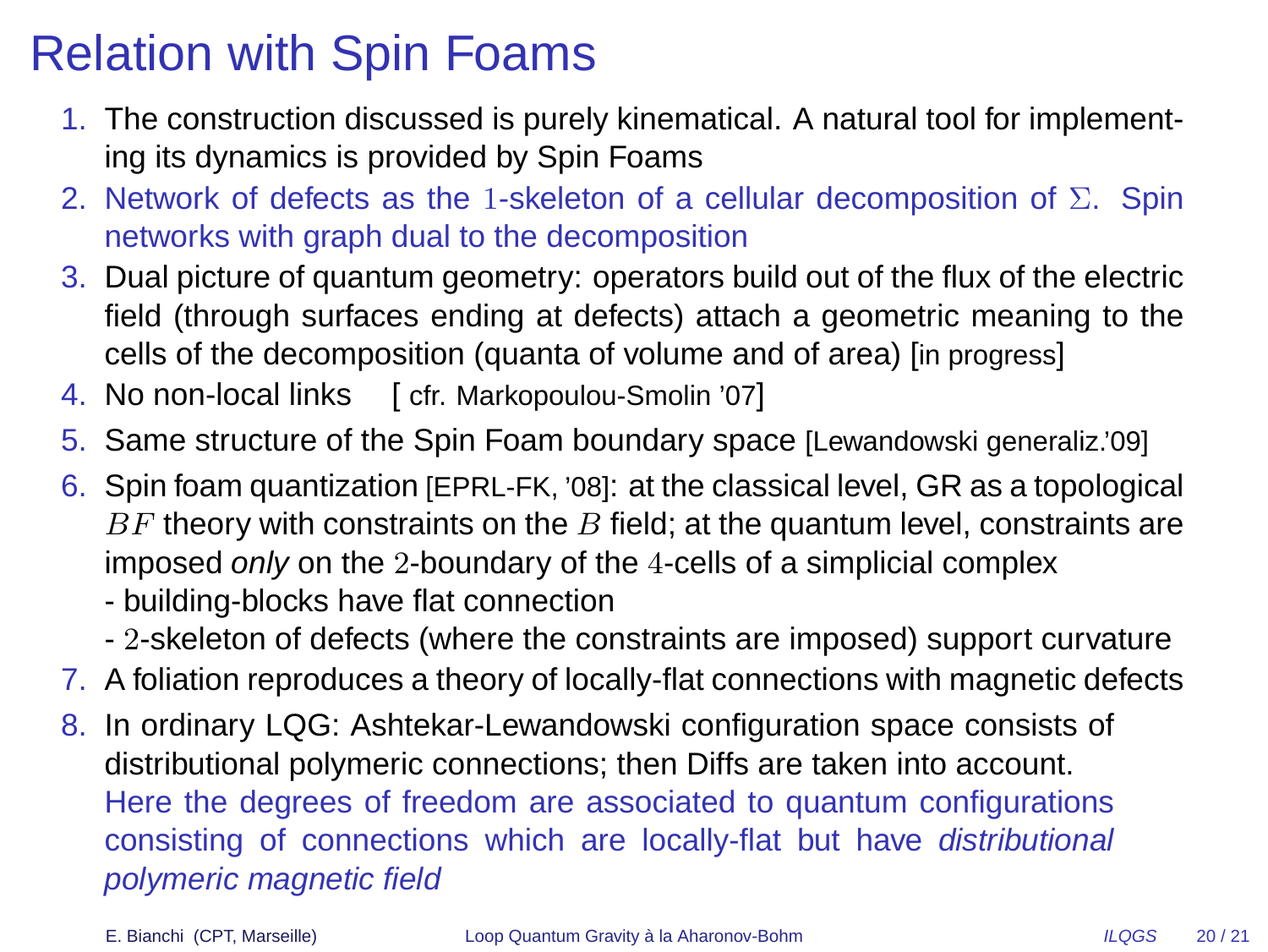# Relation with Spin Foams

- 1. The construction discussed is purely kinematical. A natural tool for implementing its dynamics is provided by Spin Foams
- 2. Network of defects as the 1-skeleton of a cellular decomposition of  $\Sigma$ . Spin networks with graph dual to the decomposition
- 3. Dual picture of quantum geometry: operators build out of the flux of the electric field (through surfaces ending at defects) attach a geometric meaning to the cells of the decomposition (quanta of volume and of area) [in progress]
- 4. No non-local links [ cfr. Markopoulou-Smolin '07]
- 5. Same structure of the Spin Foam boundary space [Lewandowski generaliz.'09]
- 6. Spin foam quantization [EPRL-FK, '08]: at the classical level, GR as a topological  $BF$  theory with constraints on the  $B$  field; at the quantum level, constraints are imposed only on the 2-boundary of the 4-cells of a simplicial complex
	- building-blocks have flat connection
	- 2-skeleton of defects (where the constraints are imposed) support curvature
- 7. A foliation reproduces a theory of locally-flat connections with magnetic defects
- 8. In ordinary LQG: Ashtekar-Lewandowski configuration space consists of distributional polymeric connections; then Diffs are taken into account. Here the degrees of freedom are associated to quantum configurations consisting of connections which are locally-flat but have distributional polymeric magnetic field